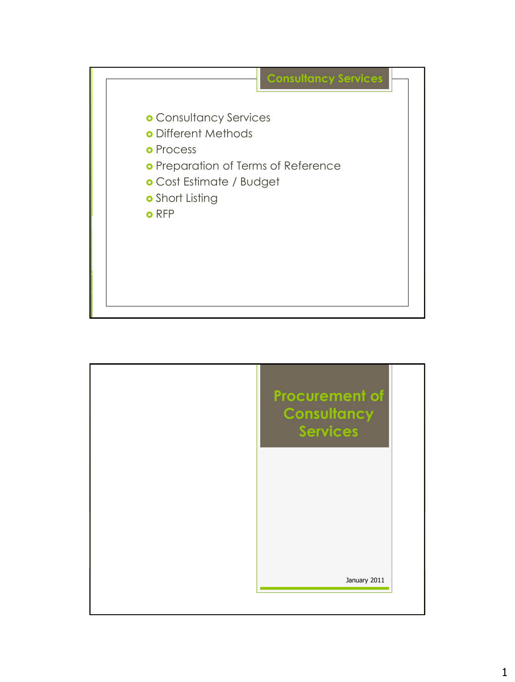

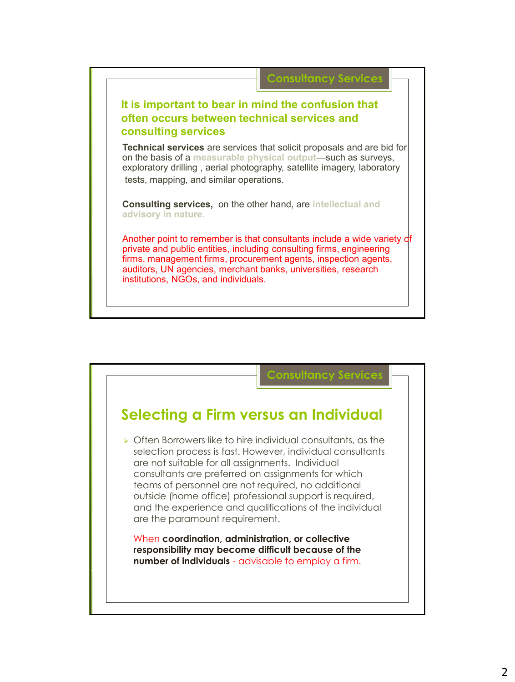

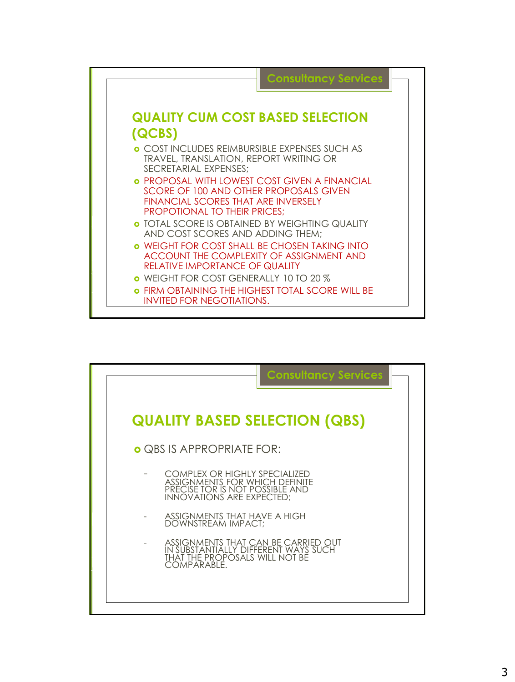

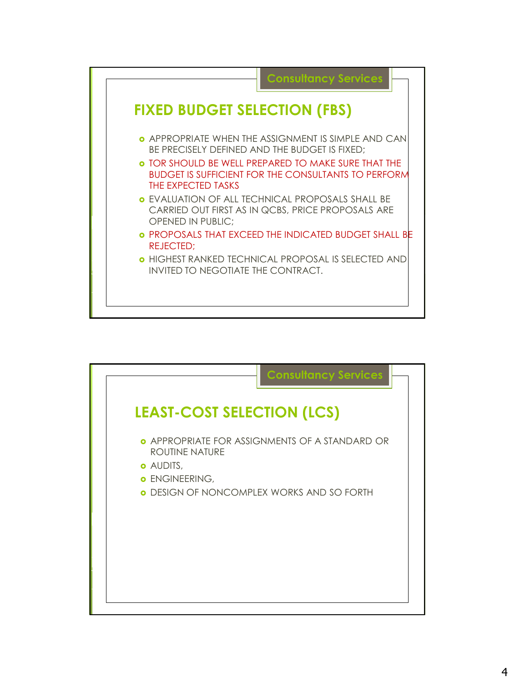

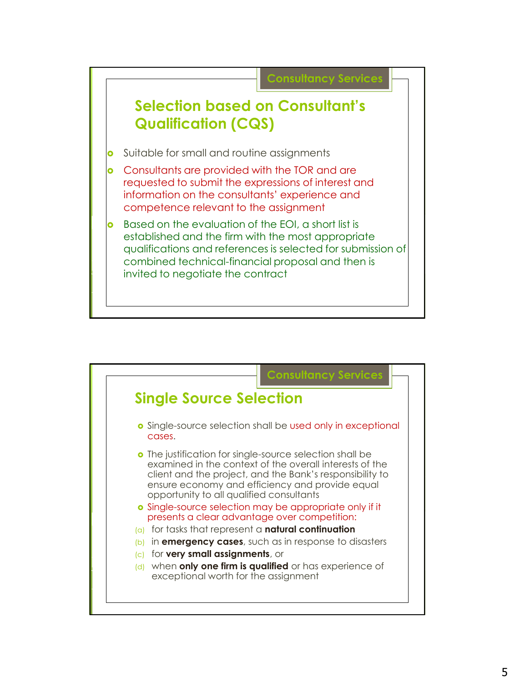

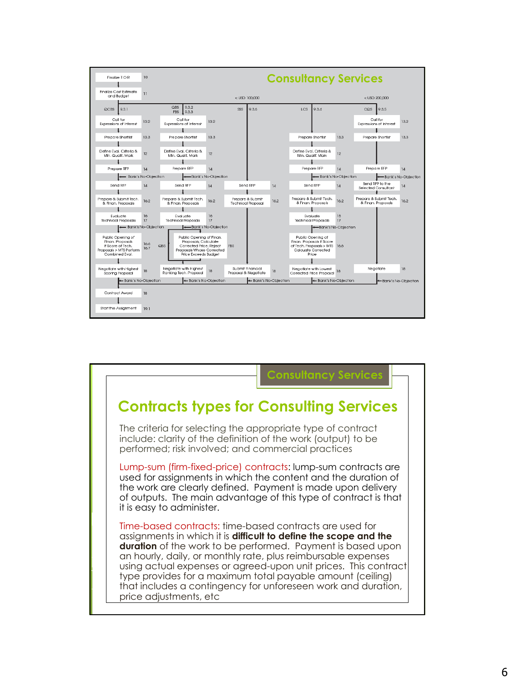

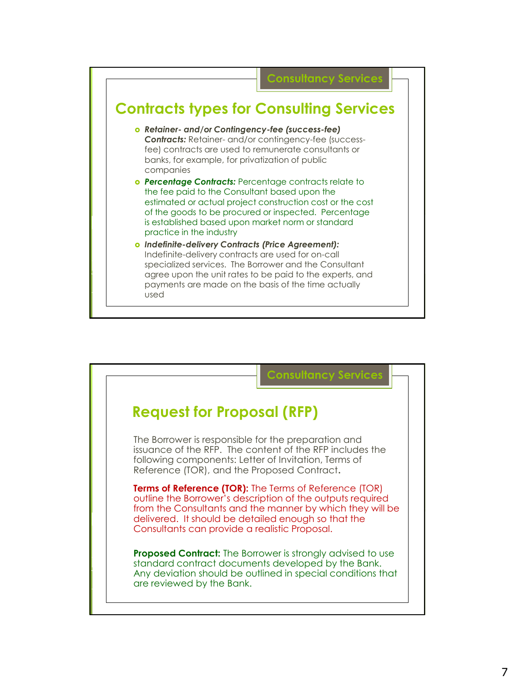

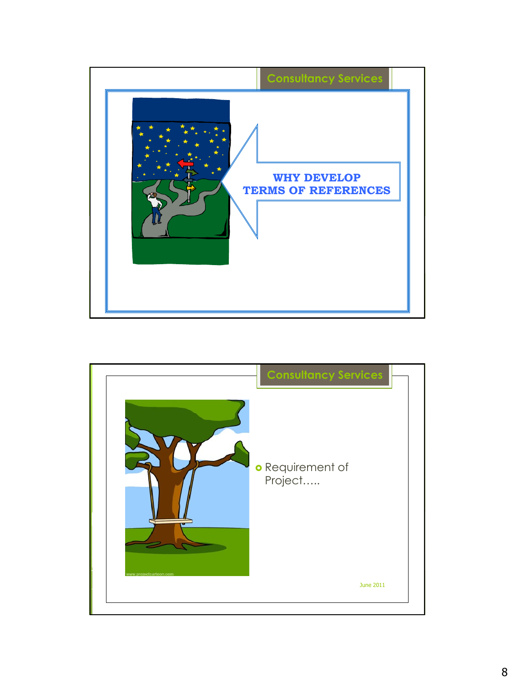

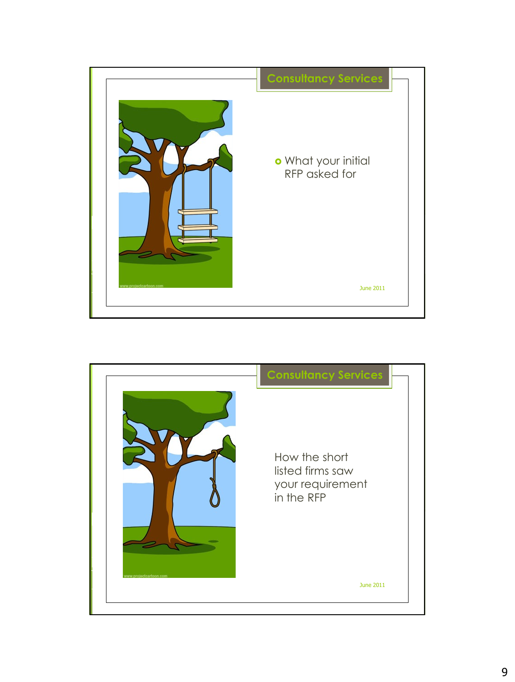

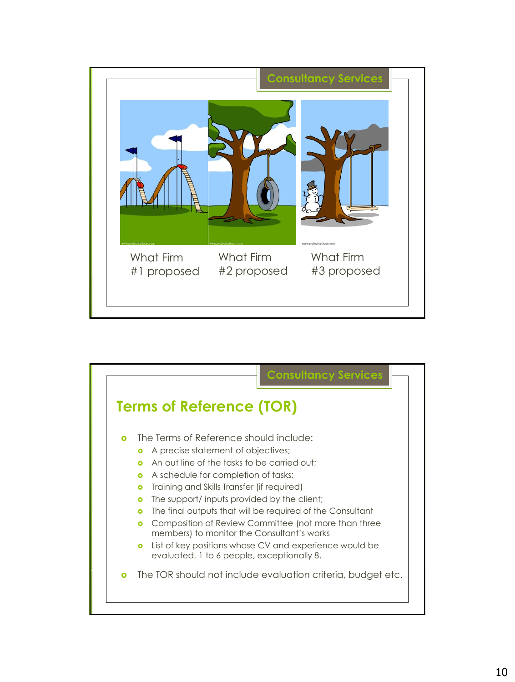

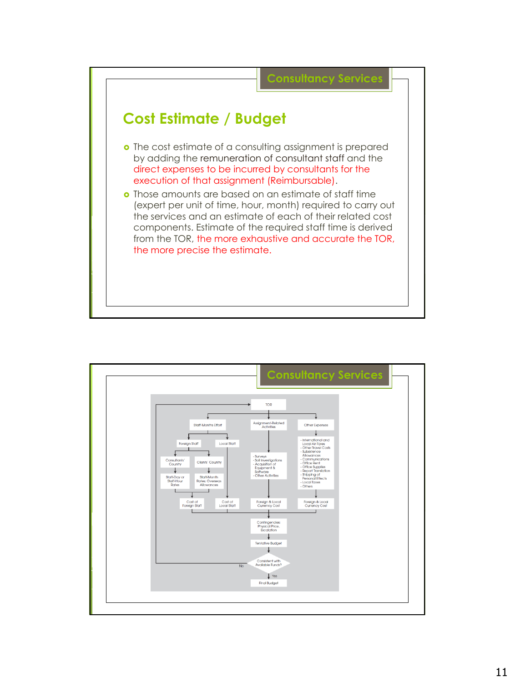

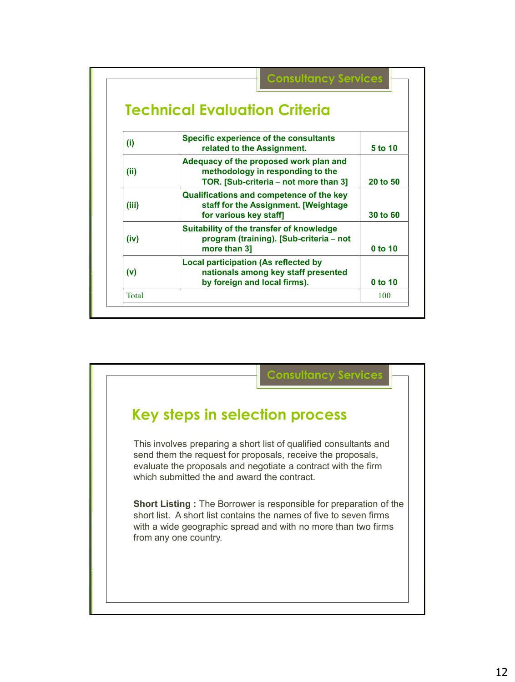|       | <b>Technical Evaluation Criteria</b>                                                                                |          |
|-------|---------------------------------------------------------------------------------------------------------------------|----------|
| (i)   | <b>Specific experience of the consultants</b><br>related to the Assignment.                                         | 5 to 10  |
| (ii)  | Adequacy of the proposed work plan and<br>methodology in responding to the<br>TOR. [Sub-criteria - not more than 3] | 20 to 50 |
| (iii) | Qualifications and competence of the key<br>staff for the Assignment. [Weightage<br>for various key staff]          | 30 to 60 |
| (iv)  | Suitability of the transfer of knowledge<br>program (training). [Sub-criteria - not<br>more than 31                 | 0 to 10  |
| (v)   | Local participation (As reflected by<br>nationals among key staff presented<br>by foreign and local firms).         | 0 to 10  |
| Total |                                                                                                                     | 100      |

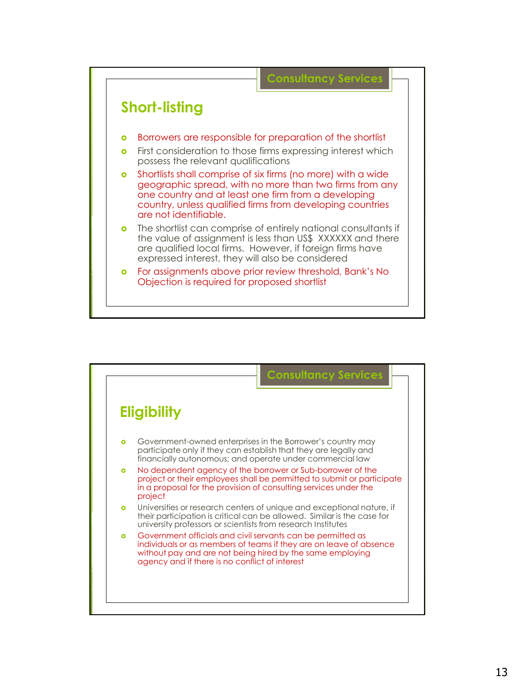

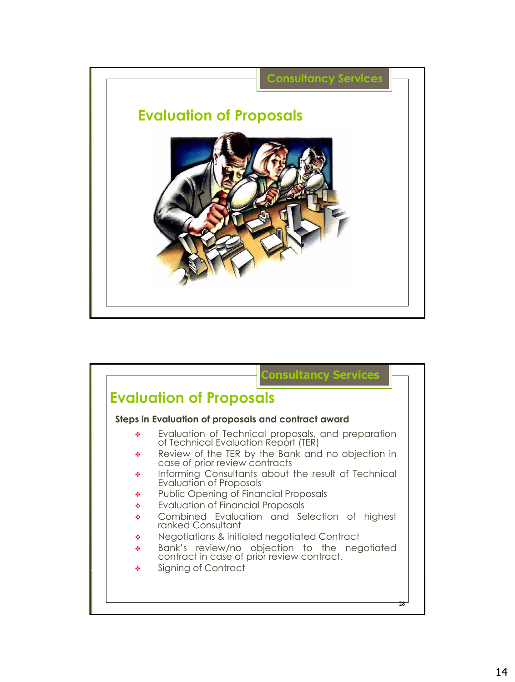

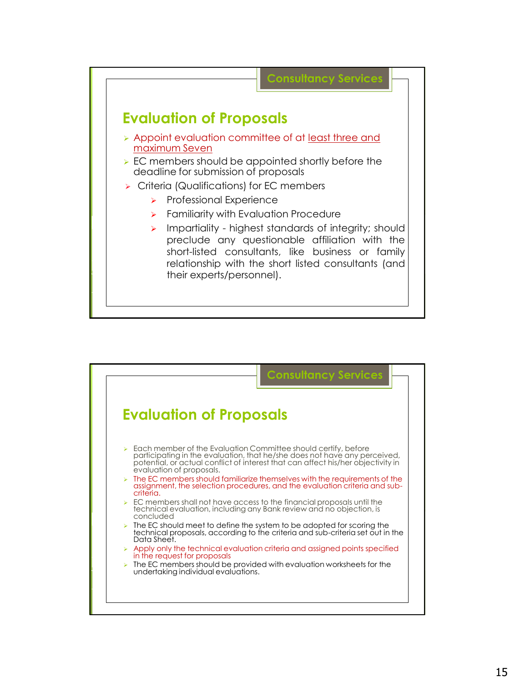

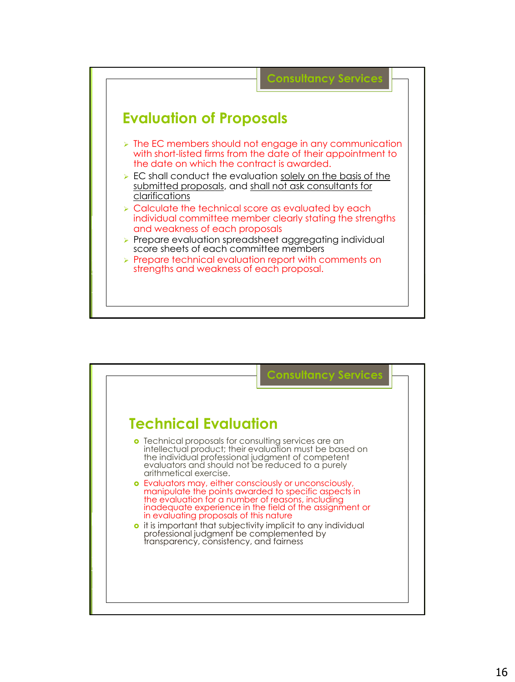

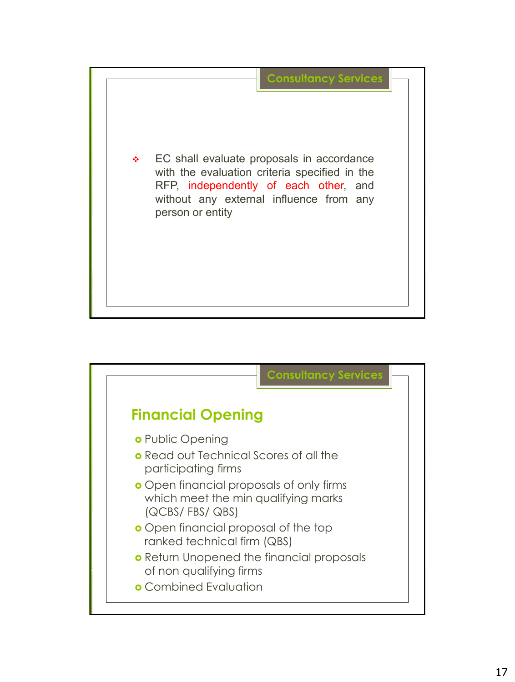